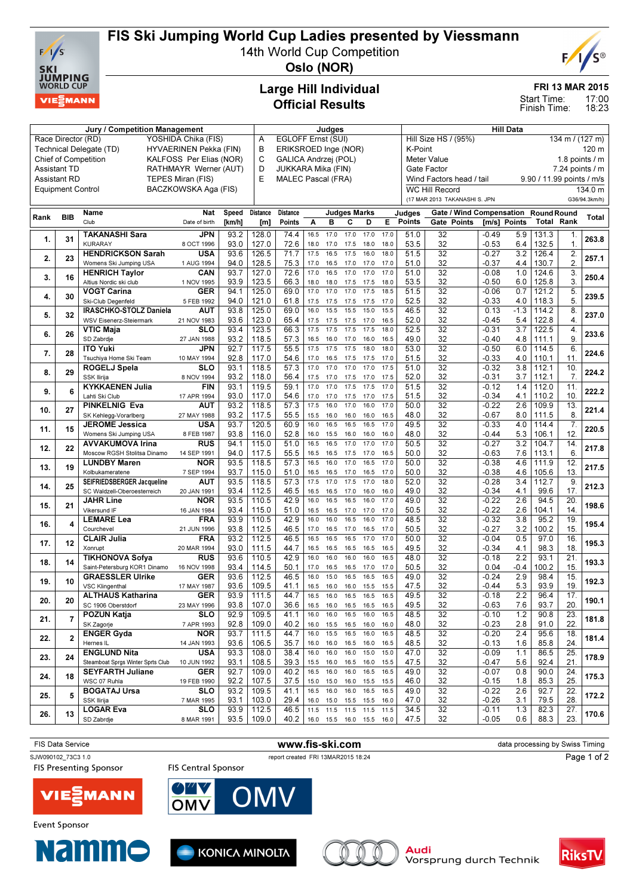

## FIS Ski Jumping World Cup Ladies presented by Viessmann

14th World Cup Competition



Oslo (NOR)

## Large Hill Individual Official Results

#### FRI 13 MAR 2015

17:00 18:23 Start Time: Finish Time:

|                                           |                          | Judges                                   |                           |              |                                |                      |              | <b>Hill Data</b> |                          |              |                                |                         |                                           |                           |               |                                         |                   |               |  |
|-------------------------------------------|--------------------------|------------------------------------------|---------------------------|--------------|--------------------------------|----------------------|--------------|------------------|--------------------------|--------------|--------------------------------|-------------------------|-------------------------------------------|---------------------------|---------------|-----------------------------------------|-------------------|---------------|--|
| Race Director (RD)<br>YOSHIDA Chika (FIS) |                          |                                          |                           |              | Α                              | EGLOFF Ernst (SUI)   |              |                  |                          |              |                                |                         | Hill Size HS / (95%)<br>134 m / $(127 m)$ |                           |               |                                         |                   |               |  |
|                                           |                          | Technical Delegate (TD)                  | HYVAERINEN Pekka (FIN)    |              | В                              | ERIKSROED Inge (NOR) |              |                  |                          |              |                                |                         | K-Point<br>120 m                          |                           |               |                                         |                   |               |  |
|                                           |                          | <b>Chief of Competition</b>              | KALFOSS Per Elias (NOR)   |              | C                              | GALICA Andrzej (POL) |              |                  |                          |              |                                |                         | 1.8 points $/$ m<br>Meter Value           |                           |               |                                         |                   |               |  |
| Assistant TD<br>RATHMAYR Werner (AUT)     |                          |                                          |                           |              | D<br>JUKKARA Mika (FIN)        |                      |              |                  |                          |              | 7.24 points / m<br>Gate Factor |                         |                                           |                           |               |                                         |                   |               |  |
| <b>Assistant RD</b><br>TEPES Miran (FIS)  |                          |                                          |                           |              | E<br><b>MALEC Pascal (FRA)</b> |                      |              |                  |                          |              | Wind Factors head / tail       |                         |                                           | 9.90 / 11.99 points / m/s |               |                                         |                   |               |  |
|                                           | <b>Equipment Control</b> |                                          | BACZKOWSKA Aga (FIS)      |              |                                |                      |              |                  |                          |              |                                |                         | <b>WC Hill Record</b>                     |                           |               |                                         |                   | 134.0 m       |  |
|                                           |                          |                                          |                           |              |                                |                      |              |                  |                          |              |                                |                         | (17 MAR 2013 TAKANASHI S. JPN             |                           |               |                                         |                   | G36/94.3km/h) |  |
|                                           |                          |                                          |                           |              | Distance                       |                      |              |                  |                          |              |                                |                         |                                           |                           |               |                                         |                   |               |  |
| Rank                                      | <b>BIB</b>               | Name<br>Club                             | Nat<br>Date of birth      | Speed        |                                | <b>Distance</b>      |              |                  | <b>Judges Marks</b>      |              |                                | Judges<br><b>Points</b> | Gate / Wind Compensation                  |                           |               | <b>Round Round</b><br><b>Total Rank</b> |                   | Total         |  |
|                                           |                          |                                          |                           | [km/h]       | [m]                            | Points               | Α            | в                | с                        | D            | E.                             |                         | Gate Points                               | [m/s] Points              |               |                                         |                   |               |  |
| 1.                                        | 31                       | <b>TAKANASHI Sara</b>                    | JPN                       | 93.2         | 128.0                          | 74.4                 | 16.5         | 17.0             | 17.0                     | 17.0         | 17.0                           | 51.0                    | 32                                        | $-0.49$                   | 5.9           | 131.3                                   | 1.                | 263.8         |  |
|                                           |                          | <b>KURARAY</b>                           | 8 OCT 1996                | 93.0         | 127.0                          | 72.6                 | 18.0         | 17.0             | 17.5                     | 18.0         | 18.0                           | 53.5                    | 32                                        | $-0.53$                   | 6.4           | 132.5                                   | $\mathbf{1}$ .    |               |  |
| 2.                                        | 23                       | <b>HENDRICKSON Sarah</b>                 | USA                       | 93.6         | 126.5                          | 71.7                 | 17.5         | 16.5             | 17.5                     | 16.0         | 18.0                           | 51.5                    | $\overline{32}$                           | $-0.27$                   | 3.2           | 126.4                                   | $\overline{2}$ .  | 257.1         |  |
|                                           |                          | Womens Ski Jumping USA                   | 1 AUG 1994                | 94.0         | 128.5                          | 75.3                 | 17.0         | 16.5             | 17.0                     | 17.0         | 17.0                           | 51.0                    | 32                                        | $-0.37$                   | 4.4           | 130.7                                   | 2.                |               |  |
| 3.                                        | 16                       | <b>HENRICH Taylor</b>                    | CAN                       | 93.7         | 127.0                          | 72.6                 | 17.0         | 16.5             | 17.0                     | 17.0         | 17.0                           | 51.0                    | $\overline{32}$                           | $-0.08$                   | 1.0           | 124.6                                   | 3.                | 250.4         |  |
|                                           |                          | Altius Nordic ski club                   | 1 NOV 1995                | 93.9         | 123.5                          | 66.3                 | 18.0         | 18.0             | 17.5                     | 17.5         | 18.0                           | 53.5                    | 32                                        | $-0.50$                   | 6.0           | 125.8                                   | 3.                |               |  |
| 4.                                        | 30                       | VOGT Carina                              | GER                       | 94.1         | 125.0                          | 69.0                 | 17.0         | 17.0             | 17.0                     | 17.5         | 18.5                           | 51.5                    | $\overline{32}$                           | $-0.06$                   | 0.7           | 121.2                                   | $\overline{5}$ .  | 239.5         |  |
|                                           |                          | Ski-Club Degenfeld                       | 5 FEB 1992                | 94.0         | 121.0                          | 61.8                 | 17.5         | 17.5             | 17.5                     | 17.5         | 17.0                           | 52.5                    | 32                                        | $-0.33$                   | 4.0           | 118.3                                   | 5.                |               |  |
| 5.                                        | 32                       | IRASCHKO-STOLZ Daniela                   | AUT                       | 93.8<br>93.6 | 125.0                          | 69.0                 | 16.0         | 15.5             | 15.5                     | 15.0         | 15.5                           | 46.5                    | 32<br>32                                  | 0.13<br>$-0.45$           | $-1.3$<br>5.4 | 114.2                                   | 8.<br>4.          | 237.0         |  |
|                                           |                          | WSV Eisenerz-Steiermark                  | 21 NOV 1983               |              | 123.0                          | 65.4<br>66.3         | 17.5<br>17.5 | 17.5<br>17.5     | 17.5<br>17.5             | 17.0<br>17.5 | 16.5<br>18.0                   | 52.0                    | 32                                        | $-0.31$                   | 3.7           | 122.8                                   | 4.                |               |  |
| 6.                                        | 26                       | <b>VTIC Maja</b><br>SD Zabrdje           | <b>SLO</b><br>27 JAN 1988 | 93.4<br>93.2 | 123.5<br>118.5                 | 57.3                 | 16.5         |                  | 17.0                     |              | 16.5                           | 52.5<br>49.0            | 32                                        | $-0.40$                   | 4.8           | 122.5<br>111.1                          | 9.                | 233.6         |  |
|                                           |                          | <b>ITO Yuki</b>                          | JPN                       | 92.7         | 117.5                          | 55.5                 | 17.5         | 16.0<br>17.5     | 17.5                     | 16.0<br>18.0 | 18.0                           | 53.0                    | 32                                        | $-0.50$                   | 6.0           | 114.5                                   | $\overline{6}$    |               |  |
| 7.                                        | 28                       | Tsuchiya Home Ski Team                   | 10 MAY 1994               | 92.8         | 117.0                          | 54.6                 | 17.0         | 16.5             | 17.5                     | 17.5         | 17.0                           | 51.5                    | 32                                        | $-0.33$                   | 4.0           | 110.1                                   | 11.               | 224.6         |  |
|                                           |                          | ROGELJ Spela                             | <b>SLO</b>                | 93.1         | 118.5                          | 57.3                 | 17.0         | 17.0             | 17.0                     | 17.0         | 17.5                           | 51.0                    | 32                                        | $-0.32$                   | 3.8           | 112.1                                   | 10.               |               |  |
| 8.                                        | 29                       | SSK Ilirija                              | 8 NOV 1994                | 93.2         | 118.0                          | 56.4                 | 17.5         | 17.0             | 17.5                     | 17.0         | 17.5                           | 52.0                    | 32                                        | $-0.31$                   | 3.7           | 112.1                                   | 7.                | 224.2         |  |
|                                           |                          | <b>KYKKAENEN Julia</b>                   | FIN                       | 93.1         | 119.5                          | 59.1                 | 17.0         | 17.0             | 17.5                     | 17.5         | 17.0                           | 51.5                    | 32                                        | $-0.12$                   | 1.4           | 112.0                                   | 11.               |               |  |
| 9.                                        | 6                        | Lahti Ski Club                           | 17 APR 1994               | 93.0         | 117.0                          | 54.6                 | 17.0         | 17.0             | 17.5                     | 17.0         | 17.5                           | 51.5                    | 32                                        | $-0.34$                   | 4.1           | 110.2                                   | 10.               | 222.2         |  |
|                                           |                          | <b>PINKELNIG Eva</b>                     | AUT                       | 93.2         | 118.5                          | 57.3                 | 17.5         | 16.0             | 17.0                     | 16.0         | 17.0                           | 50.0                    | $\overline{32}$                           | $-0.22$                   | 2.6           | 109.9                                   | 13.               |               |  |
| 10.                                       | 27                       | SK Kehlegg-Vorarlberg                    | 27 MAY 1988               | 93.2         | 117.5                          | 55.5                 | 15.5         | 16.0             | 16.0                     | 16.0         | 16.5                           | 48.0                    | 32                                        | $-0.67$                   | 8.0           | 111.5                                   | 8.                | 221.4         |  |
|                                           |                          | <b>JEROME Jessica</b>                    | USA                       | 93.7         | 120.5                          | 60.9                 | 16.0         | 16.5             | 16.5                     | 16.5         | 17.0                           | 49.5                    | 32                                        | $-0.33$                   | 4.0           | 114.4                                   | 7.                |               |  |
| 11.                                       | 15                       | Womens Ski Jumping USA                   | 8 FEB 1987                | 93.8         | 116.0                          | 52.8                 | 16.0         | 15.5             | 16.0                     | 16.0         | 16.0                           | 48.0                    | 32                                        | $-0.44$                   | 5.3           | 106.1                                   | 12.               | 220.5         |  |
|                                           |                          | <b>AVVAKUMOVA Irina</b>                  | <b>RUS</b>                | 94.1         | 115.0                          | 51.0                 | 16.5         | 16.5             | 17.0                     | 17.0         | 17.0                           | 50.5                    | $\overline{32}$                           | $-0.27$                   | 3.2           | 104.7                                   | 14.               |               |  |
| 12.                                       | 22                       | Moscow RGSH Stolitsa Dinamo              | 14 SEP 1991               | 94.0         | 117.5                          | 55.5                 | 16.5         | 16.5             | 17.5                     | 17.0         | 16.5                           | 50.0                    | 32                                        | $-0.63$                   | 7.6           | 113.1                                   | 6.                | 217.8         |  |
|                                           |                          | <b>LUNDBY Maren</b>                      | <b>NOR</b>                | 93.5         | 118.5                          | 57.3                 | 16.5         | 16.0             | 17.0                     | 16.5         | 17.0                           | 50.0                    | $\overline{32}$                           | $-0.38$                   | 4.6           | 111.9                                   | 12.               |               |  |
| 13.                                       | 19                       | Kolbukameratene                          | 7 SEP 1994                | 93.7         | 115.0                          | 51.0                 | 16.5         | 16.5             | 17.0                     | 16.5         | 17.0                           | 50.0                    | 32                                        | $-0.38$                   | 4.6           | 105.6                                   | 13.               | 217.5         |  |
|                                           |                          | SEIFRIEDSBERGER Jacqueline               | AUT                       | 93.5         | 118.5                          | 57.3                 | 17.5         | 17.0             | 17.5                     | 17.0         | 18.0                           | 52.0                    | 32                                        | $-0.28$                   | 3.4           | 112.7                                   | 9.                |               |  |
| 14.                                       | 25                       | SC Waldzell-Oberoesterreich              | 20 JAN 1991               | 93.4         | 112.5                          | 46.5                 | 16.5         | 16.5             | 17.0                     | 16.0         | 16.0                           | 49.0                    | 32                                        | $-0.34$                   | 4.1           | 99.6                                    | 17.               | 212.3         |  |
| 15.                                       | 21                       | <b>JAHR Line</b>                         | NOR                       | 93.5         | 110.5                          | 42.9                 | 16.0         | 16.5             | 16.5                     | 16.0         | 17.0                           | 49.0                    | $\overline{32}$                           | $-0.22$                   | 2.6           | 94.5                                    | 20.               | 198.6         |  |
|                                           |                          | Vikersund IF                             | 16 JAN 1984               | 93.4         | 115.0                          | 51.0                 | 16.5         | 16.5             | 17.0                     | 17.0         | 17.0                           | 50.5                    | 32                                        | $-0.22$                   | 2.6           | 104.1                                   | 14.               |               |  |
| 16.                                       | $\overline{4}$           | <b>LEMARE Lea</b>                        | <b>FRA</b>                | 93.9         | 110.5                          | 42.9                 | 16.0         | 16.0             | 16.5                     | 16.0         | 17.0                           | 48.5                    | 32                                        | $-0.32$                   | 3.8           | 95.2                                    | 19.               | 195.4         |  |
|                                           |                          | Courchevel                               | 21 JUN 1996               | 93.8         | 112.5                          | 46.5                 | 17.0         | 16.5             | 17.0                     | 16.5         | 17.0                           | 50.5                    | 32                                        | $-0.27$                   | 3.2           | 100.2                                   | 15.               |               |  |
| 17.                                       | 12                       | <b>CLAIR Julia</b>                       | <b>FRA</b>                | 93.2         | 112.5                          | 46.5                 | 16.5         | 16.5             | 16.5                     | 17.0         | 17.0                           | 50.0                    | $\overline{32}$                           | $-0.04$                   | 0.5           | 97.0                                    | 16.               | 195.3         |  |
|                                           |                          | Xonrupt                                  | 20 MAR 1994               | 93.0         | 111.5                          | 44.7                 | 16.5         | 16.5             | 16.5                     | 16.5         | 16.5                           | 49.5                    | 32                                        | $-0.34$                   | 4.1           | 98.3                                    | 18.               |               |  |
| 18.                                       | 14                       | TIKHONOVA Sofya                          | <b>RUS</b>                | 93.6         | 110.5                          | 42.9                 | 16.0         | 16.0             | 16.0                     | 16.0         | 16.5                           | 48.0                    | 32                                        | $-0.18$                   | 2.2           | 93.1                                    | 21.               | 193.3         |  |
|                                           |                          | Saint-Petersburg KOR1 Dinamo 16 NOV 1998 |                           | 93.4         | 114.5                          | 50.1                 | 17.0         | 16.5             | 16.5                     | 17.0         | 17.0                           | 50.5                    | 32                                        | 0.04                      | $-0.4$        | 100.2                                   | 15.               |               |  |
| 19.                                       | 10                       | <b>GRAESSLER Ulrike</b>                  | <b>GER</b>                | 93.6         | 112.5                          | 46.5                 | 16.0         | 15.0             | 16.5                     | 16.5         | 16.5                           | 49.0                    | 32                                        | $-0.24$                   | 2.9           | 98.4                                    | 15.               | 192.3         |  |
|                                           |                          | <b>VSC Klingenthal</b>                   | 17 MAY 1987               | 93.6         | 109.5                          | 41.1                 | 16.5         | 16.0             | 16.0                     | 15.5         | 15.5                           | 47.5                    | 32                                        | $-0.44$                   | 5.3           | 93.9                                    | 19.               |               |  |
| 20.                                       | 20                       | <b>ALTHAUS Katharina</b>                 | <b>GER</b>                | 93.9         | 111.5                          | 44.7                 | 16.5         | 16.0             | 16.5                     | 16.5         | 16.5                           | 49.5                    | $\overline{32}$                           | $-0.18$                   | 2.2           | 96.4                                    | 17.               | 190.1         |  |
|                                           |                          | SC 1906 Oberstdorf                       | 23 MAY 1996               | 93.8         | 107.0                          | 36.6                 | 16.5         | 16.0             | 16.5                     | 16.5         | 16.5                           | 49.5                    | 32                                        | -0.63                     | 7.6           | 93.7                                    | 20.               |               |  |
| 21.                                       | $\overline{7}$           | POZUN Katja                              | <b>SLO</b><br>7 APR 1993  | 92.9         | 109.5                          | 41.1                 | 16.0         | 16.0             | 16.5                     | 16.0         | 16.5<br>16.0                   | 48.5                    | 32                                        | $-0.10$                   | 1.2           | 90.8                                    | 23.               | 181.8         |  |
|                                           |                          | SK Zagorje                               | <b>NOR</b>                | 92.8<br>93.7 | 109.0<br>111.5                 | 40.2<br>44.7         | 16.0<br>16.0 | 15.5<br>15.5     | 16.5<br>16.5             | 16.0<br>16.0 | 16.5                           | 48.0<br>48.5            | 32<br>32                                  | $-0.23$                   | 2.8<br>2.4    | 91.0<br>95.6                            | 22.<br>18.        |               |  |
| 22.                                       | $\overline{2}$           | <b>ENGER Gyda</b><br>Hernes IL           | 14 JAN 1993               | 93.6         | 106.5                          | 35.7                 | 16.0         | 16.0             | 16.5                     | 16.0         | 16.5                           | 48.5                    | 32                                        | $-0.20$<br>-0.13          | 1.6           | 85.8                                    | 24.               | 181.4         |  |
|                                           |                          | <b>ENGLUND Nita</b>                      | <b>USA</b>                | 93.3         | 108.0                          | 38.4                 | 16.0         | 16.0             | 16.0                     | 15.0         | 15.0                           | 47.0                    | 32                                        | $-0.09$                   | 1.1           | 86.5                                    | 25.               |               |  |
| 23.                                       | 24                       | Steamboat Sprgs Winter Sprts Club        | 10 JUN 1992               | 93.1         | 108.5                          | 39.3                 | 15.5 16.0    |                  | 16.5                     | 16.0         | 15.5                           | 47.5                    | 32                                        | -0.47                     | 5.6           | 92.4                                    | 21.               | 178.9         |  |
|                                           |                          | <b>SEYFARTH Juliane</b>                  | <b>GER</b>                | 92.7         | 109.0                          | 40.2                 | 16.5         | 16.0             | 16.0                     | 16.5         | 16.5                           | 49.0                    | 32                                        | $-0.07$                   | 0.8           | 90.0                                    | 24.               |               |  |
| 24.                                       | 18                       | WSC 07 Ruhla                             | 19 FEB 1990               | 92.2         | 107.5                          | 37.5                 | 15.0 15.0    |                  | 16.0                     |              | 15.5 15.5                      | 46.0                    | 32                                        | -0.15                     | 1.8           | 85.3                                    | 25.               | 175.3         |  |
|                                           |                          | BOGATAJ Ursa                             | <b>SLO</b>                | 93.2         | 109.5                          | 41.1                 | 16.5         | 16.0             | 16.0                     | 16.5         | 16.5                           | 49.0                    | 32                                        | $-0.22$                   | 2.6           | 92.7                                    | $\overline{22}$   |               |  |
| 25.                                       | 5                        | SSK Ilirija                              | 7 MAR 1995                | 93.1         | 103.0                          | 29.4                 | 16.0 15.0    |                  | 15.5                     | 15.5         | 16.0                           | 47.0                    | 32                                        | -0.26                     | 3.1           | 79.5                                    | 28.               | 172.2         |  |
|                                           |                          | <b>LOGAR Eva</b>                         | <b>SLO</b>                | 93.9         | 112.5                          | 46.5                 | 11.5         | 11.5             | 11.5                     | 11.5         | 11.5                           | 34.5                    | $\overline{32}$                           | $-0.11$                   | 1.3           | 82.3                                    | $\overline{27}$ . |               |  |
| 26.                                       | 13                       | SD Zabrdje                               | 8 MAR 1991                | 93.5         | 109.0                          | 40.2                 |              |                  | 16.0 15.5 16.0 15.5 16.0 |              |                                | 47.5                    | 32                                        | $-0.05$                   | 0.6           | 88.3                                    | 23.               | 170.6         |  |
|                                           |                          |                                          |                           |              |                                |                      |              |                  |                          |              |                                |                         |                                           |                           |               |                                         |                   |               |  |